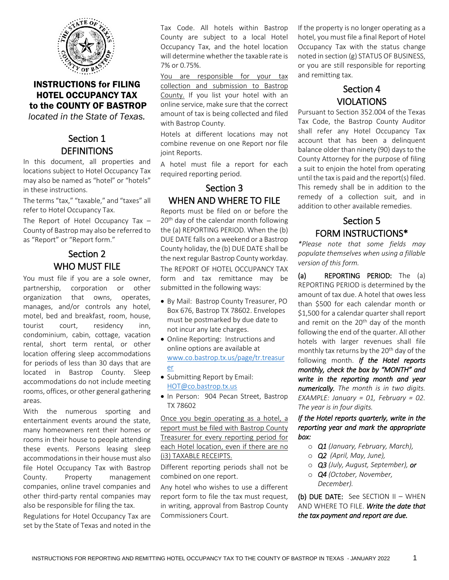

### INSTRUCTIONS for FILING HOTEL OCCUPANCY TAX to the COUNTY OF BASTROP

*located in the State of Texas.*

### Section 1 **DEFINITIONS**

In this document, all properties and locations subject to Hotel Occupancy Tax may also be named as "hotel" or "hotels" in these instructions.

The terms "tax," "taxable," and "taxes" all refer to Hotel Occupancy Tax.

The Report of Hotel Occupancy Tax – County of Bastrop may also be referred to as "Report" or "Report form."

## Section 2 WHO MUST FILE

You must file if you are a sole owner, partnership, corporation or other organization that owns, operates, manages, and/or controls any hotel, motel, bed and breakfast, room, house, tourist court, residency inn, condominium, cabin, cottage, vacation rental, short term rental, or other location offering sleep accommodations for periods of less than 30 days that are located in Bastrop County. Sleep accommodations do not include meeting rooms, offices, or other general gathering areas.

With the numerous sporting and entertainment events around the state, many homeowners rent their homes or rooms in their house to people attending these events. Persons leasing sleep accommodations in their house must also file Hotel Occupancy Tax with Bastrop County. Property management companies, online travel companies and other third-party rental companies may also be responsible for filing the tax.

Regulations for Hotel Occupancy Tax are set by the State of Texas and noted in the Tax Code. All hotels within Bastrop County are subject to a local Hotel Occupancy Tax, and the hotel location will determine whether the taxable rate is 7% or 0.75%.

You are responsible for your tax collection and submission to Bastrop County. If you list your hotel with an online service, make sure that the correct amount of tax is being collected and filed with Bastrop County.

Hotels at different locations may not combine revenue on one Report nor file joint Reports.

A hotel must file a report for each required reporting period.

### Section 3 WHEN AND WHERE TO FILE

Reports must be filed on or before the 20<sup>th</sup> day of the calendar month following the (a) REPORTING PERIOD. When the (b) DUE DATE falls on a weekend or a Bastrop County holiday, the (b) DUE DATE shall be the next regular Bastrop County workday. The REPORT OF HOTEL OCCUPANCY TAX form and tax remittance may be submitted in the following ways:

- By Mail: Bastrop County Treasurer, PO Box 676, Bastrop TX 78602. Envelopes must be postmarked by due date to not incur any late charges.
- Online Reporting: Instructions and online options are available at [www.co.bastrop.tx.us/page/tr.treasur](http://www.co.bastrop.tx.us/page/tr.treasurer) [er](http://www.co.bastrop.tx.us/page/tr.treasurer)
- Submitting Report by Email: [HOT@co.bastrop.tx.us](mailto:HOT@co.bastrop.tx.us)
- In Person: 904 Pecan Street, Bastrop TX 78602

Once you begin operating as a hotel, a report must be filed with Bastrop County Treasurer for every reporting period for each Hotel location, even if there are no (i3) TAXABLE RECEIPTS.

Different reporting periods shall not be combined on one report.

Any hotel who wishes to use a different report form to file the tax must request, in writing, approval from Bastrop County Commissioners Court.

If the property is no longer operating as a hotel, you must file a final Report of Hotel Occupancy Tax with the status change noted in section (g) STATUS OF BUSINESS, or you are still responsible for reporting and remitting tax.

# Section 4 VIOLATIONS

Pursuant to Section 352.004 of the Texas Tax Code, the Bastrop County Auditor shall refer any Hotel Occupancy Tax account that has been a delinquent balance older than ninety (90) days to the County Attorney for the purpose of filing a suit to enjoin the hotel from operating until the tax is paid and the report(s) filed. This remedy shall be in addition to the remedy of a collection suit, and in addition to other available remedies.

## Section 5 FORM INSTRUCTIONS\*

*\*Please note that some fields may populate themselves when using a fillable version of this form.*

(a) REPORTING PERIOD: The (a) REPORTING PERIOD is determined by the amount of tax due. A hotel that owes less than \$500 for each calendar month or \$1,500 for a calendar quarter shall report and remit on the 20<sup>th</sup> day of the month following the end of the quarter. All other hotels with larger revenues shall file monthly tax returns by the 20<sup>th</sup> day of the following month. *If the Hotel reports monthly, check the box by "MONTH" and write in the reporting month and year numerically. The month is in two digits. EXAMPLE: January = 01, February = 02. The year is in four digits.*

*If the Hotel reports quarterly, write in the reporting year and mark the appropriate box:*

- o *Q1 (January, February, March),*
- o *Q2 (April, May, June),*
- o *Q3 (July, August, September), or*
- o *Q4 (October, November, December).*

(b) DUE DATE: See SECTION II – WHEN AND WHERE TO FILE. *Write the date that the tax payment and report are due.*